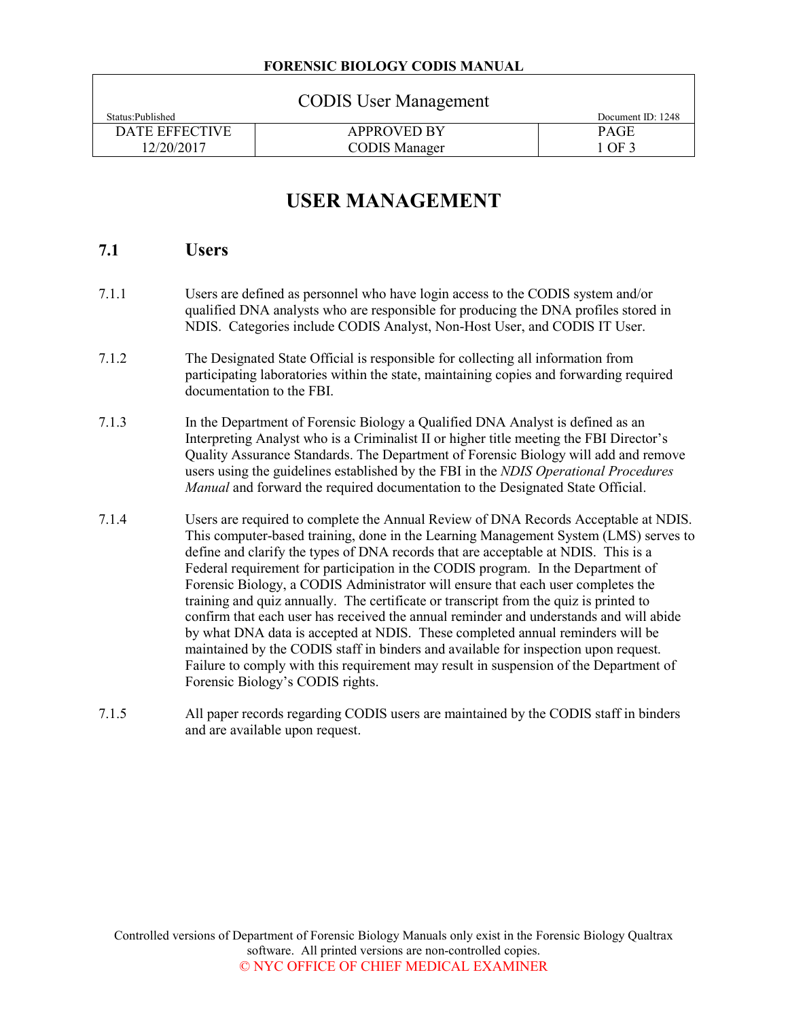#### **FORENSIC BIOLOGY CODIS MANUAL**

| <b>CODIS</b> User Management |                      |                   |  |  |  |
|------------------------------|----------------------|-------------------|--|--|--|
| Status: Published            |                      | Document ID: 1248 |  |  |  |
| DATE EFFECTIVE               | <b>APPROVED BY</b>   | <b>PAGE</b>       |  |  |  |
| 12/20/2017                   | <b>CODIS Manager</b> | 1 OF 3            |  |  |  |

# **USER MANAGEMENT**

## **7.1 Users**

- 7.1.1 Users are defined as personnel who have login access to the CODIS system and/or qualified DNA analysts who are responsible for producing the DNA profiles stored in NDIS. Categories include CODIS Analyst, Non-Host User, and CODIS IT User.
- 7.1.2 The Designated State Official is responsible for collecting all information from participating laboratories within the state, maintaining copies and forwarding required documentation to the FBI.
- 7.1.3 In the Department of Forensic Biology a Qualified DNA Analyst is defined as an Interpreting Analyst who is a Criminalist II or higher title meeting the FBI Director's Quality Assurance Standards. The Department of Forensic Biology will add and remove users using the guidelines established by the FBI in the *NDIS Operational Procedures Manual* and forward the required documentation to the Designated State Official.
- 7.1.4 Users are required to complete the Annual Review of DNA Records Acceptable at NDIS. This computer-based training, done in the Learning Management System (LMS) serves to define and clarify the types of DNA records that are acceptable at NDIS. This is a Federal requirement for participation in the CODIS program. In the Department of Forensic Biology, a CODIS Administrator will ensure that each user completes the training and quiz annually. The certificate or transcript from the quiz is printed to confirm that each user has received the annual reminder and understands and will abide by what DNA data is accepted at NDIS. These completed annual reminders will be maintained by the CODIS staff in binders and available for inspection upon request. Failure to comply with this requirement may result in suspension of the Department of Forensic Biology's CODIS rights.
- 7.1.5 All paper records regarding CODIS users are maintained by the CODIS staff in binders and are available upon request.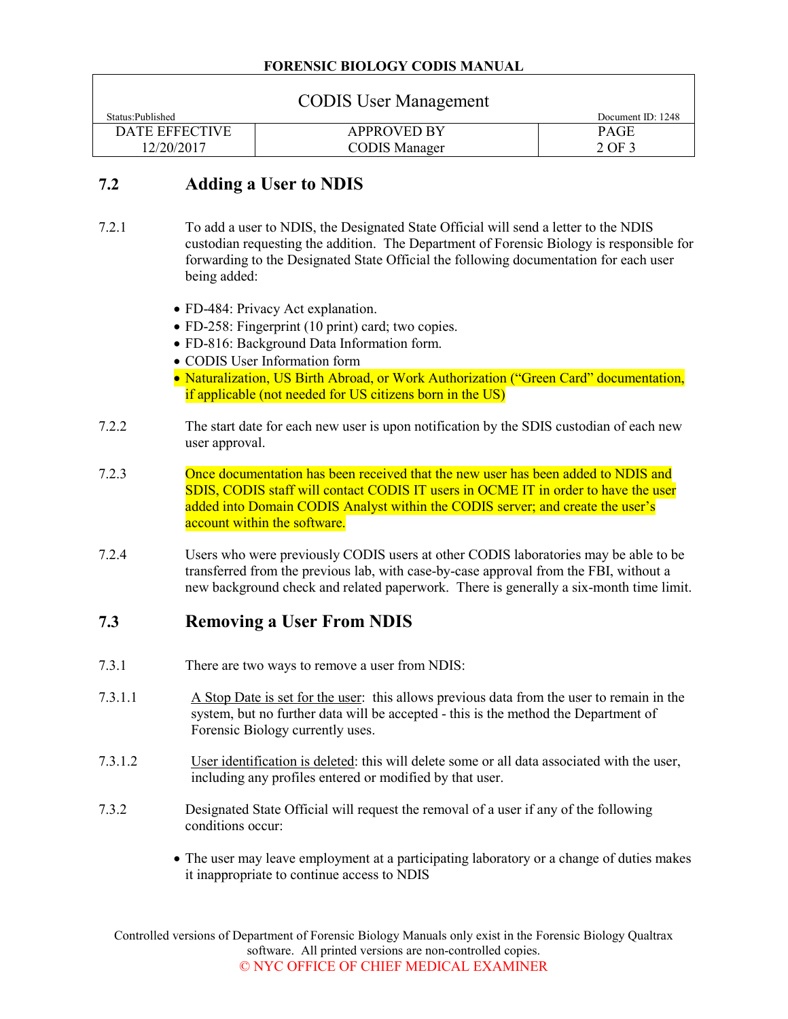#### **FORENSIC BIOLOGY CODIS MANUAL**

| <b>CODIS User Management</b> |                      |                   |  |  |  |
|------------------------------|----------------------|-------------------|--|--|--|
| Status: Published            |                      | Document ID: 1248 |  |  |  |
| DATE EFFECTIVE               | <b>APPROVED BY</b>   | <b>PAGE</b>       |  |  |  |
| 12/20/2017                   | <b>CODIS Manager</b> | 2 OF 3            |  |  |  |

# **7.2 Adding a User to NDIS**

- 7.2.1 To add a user to NDIS, the Designated State Official will send a letter to the NDIS custodian requesting the addition. The Department of Forensic Biology is responsible for forwarding to the Designated State Official the following documentation for each user being added:
	- FD-484: Privacy Act explanation.
	- FD-258: Fingerprint (10 print) card; two copies.
	- FD-816: Background Data Information form.
	- CODIS User Information form
	- Naturalization, US Birth Abroad, or Work Authorization ("Green Card" documentation, if applicable (not needed for US citizens born in the US)
- 7.2.2 The start date for each new user is upon notification by the SDIS custodian of each new user approval.
- 7.2.3 Once documentation has been received that the new user has been added to NDIS and SDIS, CODIS staff will contact CODIS IT users in OCME IT in order to have the user added into Domain CODIS Analyst within the CODIS server; and create the user's account within the software.
- 7.2.4 Users who were previously CODIS users at other CODIS laboratories may be able to be transferred from the previous lab, with case-by-case approval from the FBI, without a new background check and related paperwork. There is generally a six-month time limit.

# **7.3 Removing a User From NDIS**

- 7.3.1 There are two ways to remove a user from NDIS:
- 7.3.1.1 A Stop Date is set for the user: this allows previous data from the user to remain in the system, but no further data will be accepted - this is the method the Department of Forensic Biology currently uses.
- 7.3.1.2 User identification is deleted: this will delete some or all data associated with the user, including any profiles entered or modified by that user.
- 7.3.2 Designated State Official will request the removal of a user if any of the following conditions occur:
	- The user may leave employment at a participating laboratory or a change of duties makes it inappropriate to continue access to NDIS